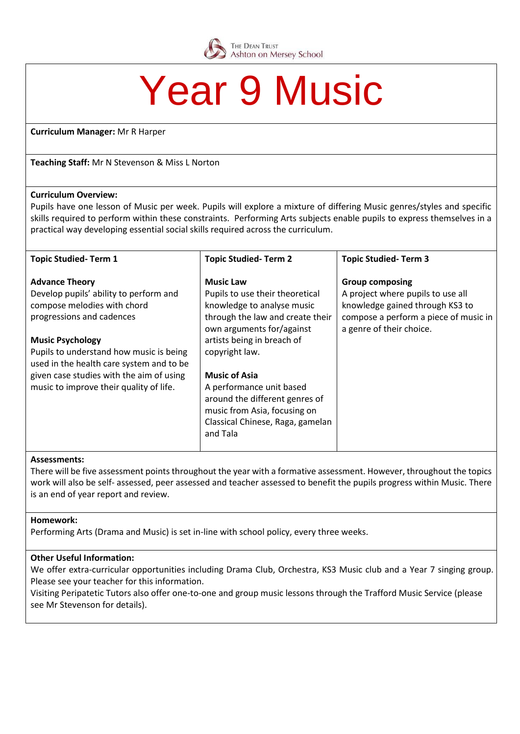

# **Year 9 Music**

**Curriculum Manager:** Mr R Harper

**Teaching Staff:** Mr N Stevenson & Miss L Norton

## **Curriculum Overview:**

Pupils have one lesson of Music per week. Pupils will explore a mixture of differing Music genres/styles and specific skills required to perform within these constraints. Performing Arts subjects enable pupils to express themselves in a practical way developing essential social skills required across the curriculum.

| <b>Topic Studied-Term 1</b>                                                         | <b>Topic Studied-Term 2</b>                                   | <b>Topic Studied-Term 3</b>                                       |
|-------------------------------------------------------------------------------------|---------------------------------------------------------------|-------------------------------------------------------------------|
| <b>Advance Theory</b>                                                               | <b>Music Law</b>                                              | <b>Group composing</b>                                            |
| Develop pupils' ability to perform and                                              | Pupils to use their theoretical                               | A project where pupils to use all                                 |
| compose melodies with chord                                                         | knowledge to analyse music                                    | knowledge gained through KS3 to                                   |
| progressions and cadences                                                           | through the law and create their<br>own arguments for/against | compose a perform a piece of music in<br>a genre of their choice. |
| <b>Music Psychology</b>                                                             | artists being in breach of                                    |                                                                   |
| Pupils to understand how music is being<br>used in the health care system and to be | copyright law.                                                |                                                                   |
| given case studies with the aim of using                                            | <b>Music of Asia</b>                                          |                                                                   |
| music to improve their quality of life.                                             | A performance unit based                                      |                                                                   |
|                                                                                     | around the different genres of                                |                                                                   |
|                                                                                     | music from Asia, focusing on                                  |                                                                   |
|                                                                                     | Classical Chinese, Raga, gamelan<br>and Tala                  |                                                                   |
|                                                                                     |                                                               |                                                                   |

#### **Assessments:**

There will be five assessment points throughout the year with a formative assessment. However, throughout the topics work will also be self- assessed, peer assessed and teacher assessed to benefit the pupils progress within Music. There is an end of year report and review.

## **Homework:**

Performing Arts (Drama and Music) is set in-line with school policy, every three weeks.

## **Other Useful Information:**

We offer extra-curricular opportunities including Drama Club, Orchestra, KS3 Music club and a Year 7 singing group. Please see your teacher for this information.

Visiting Peripatetic Tutors also offer one-to-one and group music lessons through the Trafford Music Service (please see Mr Stevenson for details).